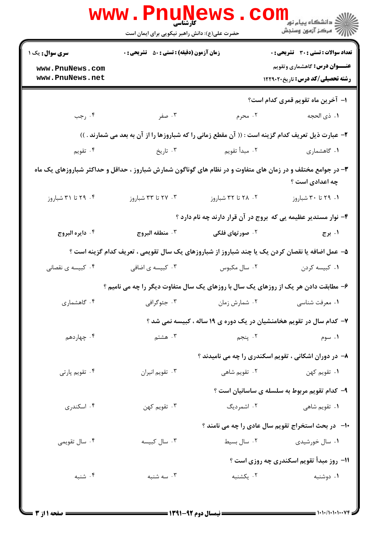|                                                                                                    | <b>www.Pnu</b><br>کارشناسی<br>حضرت علی(ع): دانش راهبر نیکویی برای ایمان است                                 |                             | ر دانشڪاه پيام نور ■<br>// مرکز آزمون وسنڊش                                                                                    |  |  |
|----------------------------------------------------------------------------------------------------|-------------------------------------------------------------------------------------------------------------|-----------------------------|--------------------------------------------------------------------------------------------------------------------------------|--|--|
| <b>سری سوال :</b> یک ۱<br>www.PnuNews.com<br>www.PnuNews.net                                       | <b>زمان آزمون (دقیقه) : تستی : 50 ٪ تشریحی : 0</b>                                                          |                             | <b>تعداد سوالات : تستی : 30 - تشریحی : 0</b><br><b>عنـــوان درس:</b> گاهشماری وتقویم<br><b>رشته تحصیلی/کد درس:</b> تاریخ۲۲۹۰۲۰ |  |  |
|                                                                                                    |                                                                                                             |                             | ۱– آخرین ماه تقویم قمری کدام است؟                                                                                              |  |  |
| ۰۴ رجب                                                                                             | ۰۳ صفر                                                                                                      | ۰۲ محرم                     | ٠١ ذي الحجه                                                                                                                    |  |  |
| ۲- عبارت ذیل تعریف کدام گزینه است : (( آن مقطع زمانی را که شباروزها را از آن به بعد می شمارند . )) |                                                                                                             |                             |                                                                                                                                |  |  |
| ۰۴ تقويم                                                                                           | ۰۳ تاریخ                                                                                                    | ۰۲ مبدأ تقويم               | ۰۱ گاهشماری                                                                                                                    |  |  |
|                                                                                                    | ۳- در جوامع مختلف و در زمان های متفاوت و در نظام های گوناگون شمارش شباروز ، حداقل و حداکثر شباروزهای یک ماه |                             | چه اعدادی است ؟                                                                                                                |  |  |
| ۰۴ تا ۳۱ شباروز                                                                                    | ۰۳ تا ۳۳ شباروز                                                                                             | ۲. ۲۸ تا ۳۲ شباروز          | ٠١. ٢٩ تا ٣٠ شباروز                                                                                                            |  |  |
|                                                                                                    |                                                                                                             |                             | ۴– نوار مستدیر عظیمه یی که بروج در آن قرار دارند چه نام دارد ؟                                                                 |  |  |
| ۰۴ دايره البروج                                                                                    | ۰۳ منطقه البروج                                                                                             | ۰ <sup>۲</sup> صورتهای فلکی | ۰۱ برج                                                                                                                         |  |  |
| ۵– عمل اضافه یا نقصان کردن یک یا چند شباروز از شباروزهای یک سال تقویمی ، تعریف کدام گزینه است ؟    |                                                                                                             |                             |                                                                                                                                |  |  |
| ۰۴ کبیسه ی نقصانی                                                                                  | ۰۳ کبیسه ی اضافی                                                                                            | ۰۲ سال مکبوس                | ۰۱ کبیسه کردن                                                                                                                  |  |  |
|                                                                                                    | ۶- مطابقت دادن هر یک از روزهای یک سال با روزهای یک سال متفاوت دیگر را چه می نامیم ؟                         |                             |                                                                                                                                |  |  |
| ۰۴ گاهشماری                                                                                        | ۰۳ جئوگرافی                                                                                                 | ۰۲ شمارش زمان               | ۰۱ معرفت شناسي                                                                                                                 |  |  |
|                                                                                                    |                                                                                                             |                             | ۷- کدام سال در تقویم هخامنشیان در یک دوره ی ۱۹ ساله ، کبیسه نمی شد ؟                                                           |  |  |
| ۰۴ چهاردهم                                                                                         | ۰۳ هشتم                                                                                                     | ۲. پنجم                     | ۰۱ سوم                                                                                                                         |  |  |
|                                                                                                    |                                                                                                             |                             | ۸– در دوران اشکانی ، تقویم اسکندری را چه می نامیدند ؟                                                                          |  |  |
| ۰۴ تقویم پارتی                                                                                     | ۰۳ تقويم انيران                                                                                             | ۰۲ تقویم شاهی               | ۰۱ تقويم کهن                                                                                                                   |  |  |
|                                                                                                    |                                                                                                             |                             | ۹- کدام تقویم مربوط به سلسله ی ساسانیان است ؟                                                                                  |  |  |
| ۰۴ اسکندری                                                                                         | ۰۳ تقويم کهن                                                                                                | ۰۲ اشمردیگ                  | ۰۱ تقویم شا <i>هی</i>                                                                                                          |  |  |
|                                                                                                    |                                                                                                             |                             | <b>۱۰</b> - در بحث استخراج تقویم سال عادی را چه می نامند ؟                                                                     |  |  |
| ۰۴ سال تقویمی                                                                                      | ۰۳ سال کبیسه                                                                                                | ۰۲ سال بسیط                 | ۰۱ سال خورشیدی                                                                                                                 |  |  |
|                                                                                                    | 11- روز مبدأ تقويم اسكندري چه روزي است ؟                                                                    |                             |                                                                                                                                |  |  |
| ۰۴ شنبه                                                                                            | ۰۳ سه شنبه                                                                                                  | ۰۲ یکشنبه                   | ۰۱ دوشنبه                                                                                                                      |  |  |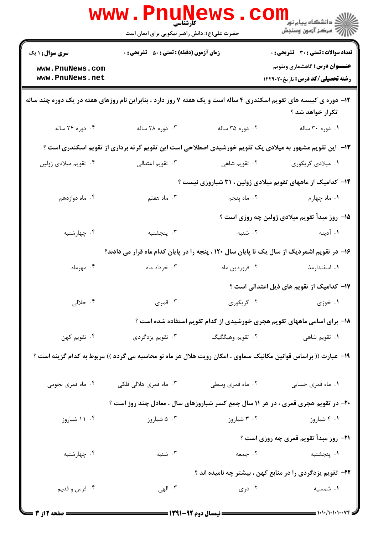|                        | <b>www.PnuNews</b><br>کا, شناسی               |                                                             | رانشگاه پيام نور<br>الله عرکز آزمهن وسنجش                                                                                                                                                                                                                                                                                                                                                                             |
|------------------------|-----------------------------------------------|-------------------------------------------------------------|-----------------------------------------------------------------------------------------------------------------------------------------------------------------------------------------------------------------------------------------------------------------------------------------------------------------------------------------------------------------------------------------------------------------------|
|                        | حضرت علی(ع): دانش راهبر نیکویی برای ایمان است |                                                             |                                                                                                                                                                                                                                                                                                                                                                                                                       |
| <b>سری سوال : ۱ یک</b> |                                               | <b>زمان آزمون (دقیقه) : تستی : 50 ٪ تشریحی : 0</b>          |                                                                                                                                                                                                                                                                                                                                                                                                                       |
| www.PnuNews.com        |                                               |                                                             | <b>عنـــوان درس:</b> گاهشماری وتقویم                                                                                                                                                                                                                                                                                                                                                                                  |
| www.PnuNews.net        |                                               |                                                             | رشته تحصیلی/کد درس: تاریخ۲۲۹۰۲۰                                                                                                                                                                                                                                                                                                                                                                                       |
|                        |                                               |                                                             | ۱۲- دوره ی کبیسه های تقویم اسکندری ۴ ساله است و یک هفته ۷ روز دارد ، بنابراین نام روزهای هفته در یک دوره چند ساله<br>تکرار خواهد شد ؟                                                                                                                                                                                                                                                                                 |
| ۰۴ دوره ۲۴ ساله        | ۰۳ دوره ۲۸ ساله                               | ۰۲ دوره ۳۵ ساله                                             | ۰۱ دوره ۳۰ ساله                                                                                                                                                                                                                                                                                                                                                                                                       |
|                        |                                               |                                                             | ۱۳– این تقویم مشهور به میلادی یک تقویم خورشیدی اصطلاحی است این تقویم گرته برداری از تقویم اسکندری است ؟                                                                                                                                                                                                                                                                                                               |
| ۰۴ تقويم ميلادي ژولين  | ۰۳ تقويم اعتدالي                              | ۰۲ تقویم شاهی                                               | ۰۱ میلادی گریگوری                                                                                                                                                                                                                                                                                                                                                                                                     |
|                        |                                               |                                                             | ۱۴- کدامیک از ماههای تقویم میلادی ژولین ، ۳۱ شباروزی نیست ؟                                                                                                                                                                                                                                                                                                                                                           |
| ۰۴ ماه دوازدهم         | ۰۳ ماه هفتم                                   | ۰۲ ماه پنجم                                                 | ۰۱ ماه چهارم                                                                                                                                                                                                                                                                                                                                                                                                          |
|                        |                                               |                                                             | 1۵– روز مبدأ تقویم میلادی ژولین چه روزی است ؟                                                                                                                                                                                                                                                                                                                                                                         |
| ۰۴ چهارشنبه            | ۰۳ پنجشنبه                                    | ۰۲ شنبه                                                     | ۱. آدینه                                                                                                                                                                                                                                                                                                                                                                                                              |
|                        |                                               |                                                             | ۱۶– در تقویم اشمردیگ از سال یک تا پایان سال ۱۲۰ ، پنجه را در پایان کدام ماه قرار می دادند؟                                                                                                                                                                                                                                                                                                                            |
| ۰۴ مهرماه              | ۰۳ خرداد ماه                                  | ۰۲ فروردين ماه                                              | ۰۱ اسفندارمذ                                                                                                                                                                                                                                                                                                                                                                                                          |
|                        |                                               |                                                             | ۱۷– کدامیک از تقویم های ذیل اعتدالی است ؟                                                                                                                                                                                                                                                                                                                                                                             |
| ۰۴ جلالی               | ۰۳ قمری                                       |                                                             |                                                                                                                                                                                                                                                                                                                                                                                                                       |
|                        |                                               |                                                             | ۱۸- برای اسامی ماههای تقویم هجری خورشیدی از کدام تقویم استفاده شده است ؟                                                                                                                                                                                                                                                                                                                                              |
| ۰۴ تقويم كهن           | ۰۳ تقویم یزدگردی                              | ۲.  تقويم وهيگگيگ                                           | ۰۱ تقویم شاه <sub>ی</sub>                                                                                                                                                                                                                                                                                                                                                                                             |
|                        |                                               |                                                             | ۱۹– عبارت (( براساس قوانین مکانیک سماوی ، امکان رویت هلال هر ماه نو محاسبه می گردد )) مربوط به کدام گزینه است ؟                                                                                                                                                                                                                                                                                                       |
| ۰۴ ماه قمری نجومی      | ۰۳ ماه قمری هلالی فلکی                        | ۰۲ ماه قمری وسطی                                            | ٠١. ماه قمري حسابي                                                                                                                                                                                                                                                                                                                                                                                                    |
|                        |                                               |                                                             | <b>۲۰</b> - در تقویم هجری قمری ، در هر ۱۱ سال جمع کسر شباروزهای سال ، معادل چند روز است ؟                                                                                                                                                                                                                                                                                                                             |
| ۰۴ ۱۱ شباروز           | ۰۳ شباروز                                     | ۰۲ شباروز                                                   | ۰۱ ۴ شباروز                                                                                                                                                                                                                                                                                                                                                                                                           |
|                        |                                               |                                                             | <b>۲۱</b> - روز مبدأ تقويم قمري چه روزي است ؟                                                                                                                                                                                                                                                                                                                                                                         |
| ۰۴ چهارشنبه            | ۰۳ شنبه                                       | ٢. جمعه                                                     | ۰۱ پنجشنبه                                                                                                                                                                                                                                                                                                                                                                                                            |
|                        |                                               |                                                             | <b>۲۲</b> - تقویم یزدگردی را در منابع کهن ، بیشتر چه نامیده اند ؟                                                                                                                                                                                                                                                                                                                                                     |
| ۰۴ فرس و قديم          | ۰۳ الهی                                       | ۰۲ دری                                                      | ۰۱ شمسیه                                                                                                                                                                                                                                                                                                                                                                                                              |
| ــــ صفحه 12ز 3 =      |                                               | ـــــــــــــــــ نیمسال دوم ۹۲-۱۳۹۱ <del>- - - - - -</del> | $\frac{1}{1-\frac{1}{1-\frac{1}{1-\frac{1}{1-\frac{1}{1-\frac{1}{1-\frac{1}{1-\frac{1}{1-\frac{1}{1-\frac{1}{1-\frac{1}{1-\frac{1}{1-\frac{1}{1-\frac{1}{1-\frac{1}{1-\frac{1}{1-\frac{1}{1-\frac{1}{1-\frac{1}{1-\frac{1}{1-\frac{1}{1-\frac{1}{1-\frac{1}{1-\frac{1}{1-\frac{1}{1-\frac{1}{1-\frac{1}{1-\frac{1}{1-\frac{1}{1-\frac{1}{1-\frac{1}{1-\frac{1}{1-\frac{1}{1-\frac{1}{1-\frac{1}{1-\frac{1}{1-\frac{1$ |